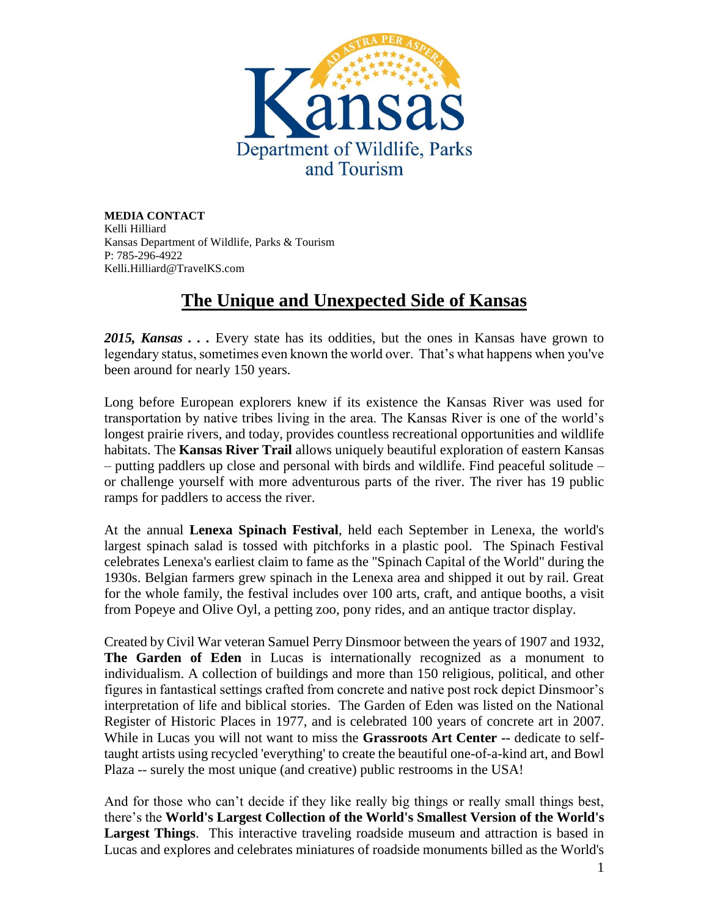

**MEDIA CONTACT** Kelli Hilliard Kansas Department of Wildlife, Parks & Tourism P: 785-296-4922 Kelli.Hilliard@TravelKS.com

## **The Unique and Unexpected Side of Kansas**

*2015, Kansas . . .* Every state has its oddities, but the ones in Kansas have grown to legendary status, sometimes even known the world over. That's what happens when you've been around for nearly 150 years.

Long before European explorers knew if its existence the Kansas River was used for transportation by native tribes living in the area. The Kansas River is one of the world's longest prairie rivers, and today, provides countless recreational opportunities and wildlife habitats. The **Kansas River Trail** allows uniquely beautiful exploration of eastern Kansas – putting paddlers up close and personal with birds and wildlife. Find peaceful solitude – or challenge yourself with more adventurous parts of the river. The river has 19 public ramps for paddlers to access the river.

At the annual **Lenexa Spinach Festival**, held each September in Lenexa, the world's largest spinach salad is tossed with pitchforks in a plastic pool. The Spinach Festival celebrates Lenexa's earliest claim to fame as the "Spinach Capital of the World" during the 1930s. Belgian farmers grew spinach in the Lenexa area and shipped it out by rail. Great for the whole family, the festival includes over 100 arts, craft, and antique booths, a visit from Popeye and Olive Oyl, a petting zoo, pony rides, and an antique tractor display.

Created by Civil War veteran Samuel Perry Dinsmoor between the years of 1907 and 1932, **The Garden of Eden** in Lucas is internationally recognized as a monument to individualism. A collection of buildings and more than 150 religious, political, and other figures in fantastical settings crafted from concrete and native post rock depict Dinsmoor's interpretation of life and biblical stories. The Garden of Eden was listed on the National Register of Historic Places in 1977, and is celebrated 100 years of concrete art in 2007. While in Lucas you will not want to miss the **Grassroots Art Center --** dedicate to selftaught artists using recycled 'everything' to create the beautiful one-of-a-kind art, and Bowl Plaza -- surely the most unique (and creative) public restrooms in the USA!

And for those who can't decide if they like really big things or really small things best, there's the **World's Largest Collection of the World's Smallest Version of the World's Largest Things**. This interactive traveling roadside museum and attraction is based in Lucas and explores and celebrates miniatures of roadside monuments billed as the World's